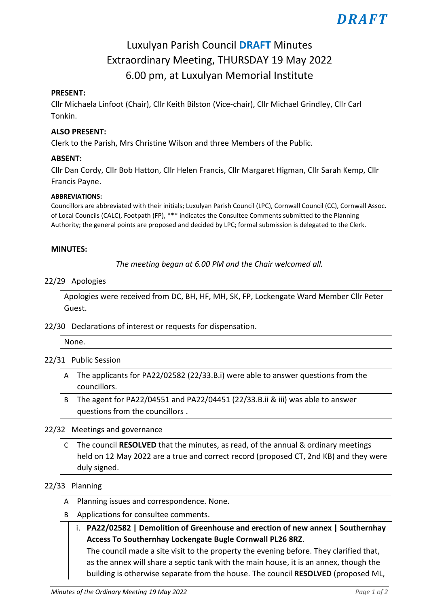# *DRAFT*

# Luxulyan Parish Council **DRAFT** Minutes Extraordinary Meeting, THURSDAY 19 May 2022 6.00 pm, at Luxulyan Memorial Institute

# **PRESENT:**

Cllr Michaela Linfoot (Chair), Cllr Keith Bilston (Vice-chair), Cllr Michael Grindley, Cllr Carl Tonkin.

### **ALSO PRESENT:**

Clerk to the Parish, Mrs Christine Wilson and three Members of the Public.

#### **ABSENT:**

Cllr Dan Cordy, Cllr Bob Hatton, Cllr Helen Francis, Cllr Margaret Higman, Cllr Sarah Kemp, Cllr Francis Payne.

#### **ABBREVIATIONS:**

Councillors are abbreviated with their initials; Luxulyan Parish Council (LPC), Cornwall Council (CC), Cornwall Assoc. of Local Councils (CALC), Footpath (FP), \*\*\* indicates the Consultee Comments submitted to the Planning Authority; the general points are proposed and decided by LPC; formal submission is delegated to the Clerk.

#### **MINUTES:**

*The meeting began at 6.00 PM and the Chair welcomed all.*

#### 22/29 Apologies

Apologies were received from DC, BH, HF, MH, SK, FP, Lockengate Ward Member Cllr Peter Guest.

# 22/30 Declarations of interest or requests for dispensation.

# None.

# 22/31 Public Session

- A The applicants for PA22/02582 (22/33.B.i) were able to answer questions from the councillors.
- B The agent for PA22/04551 and PA22/04451 (22/33.B.ii & iii) was able to answer questions from the councillors .

#### 22/32 Meetings and governance

C The council **RESOLVED** that the minutes, as read, of the annual & ordinary meetings held on 12 May 2022 are a true and correct record (proposed CT, 2nd KB) and they were duly signed.

#### 22/33 Planning

- A Planning issues and correspondence. None.
- B Applications for consultee comments.
	- i. **PA22/02582 | Demolition of Greenhouse and erection of new annex | Southernhay Access To Southernhay Lockengate Bugle Cornwall PL26 8RZ**.

The council made a site visit to the property the evening before. They clarified that, as the annex will share a septic tank with the main house, it is an annex, though the building is otherwise separate from the house. The council **RESOLVED** (proposed ML,